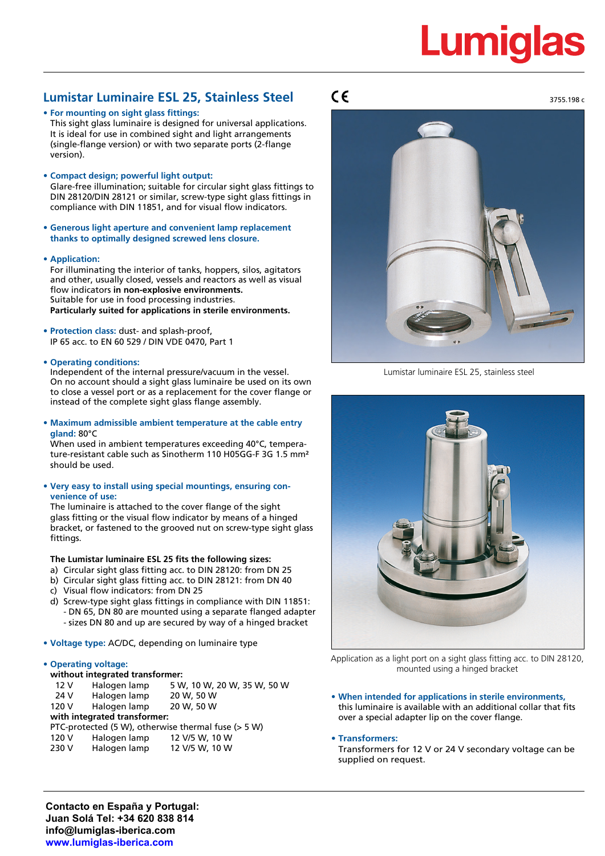# **Lumiglas**

3755.198 c

# **Lumistar Luminaire ESL 25, Stainless Steel**

**• For mounting on sight glass fittings:**

This sight glass luminaire is designed for universal applications. It is ideal for use in combined sight and light arrangements (single-flange version) or with two separate ports (2-flange version).

**• Compact design; powerful light output:**

Glare-free illumination; suitable for circular sight glass fittings to DIN 28120/DIN 28121 or similar, screw-type sight glass fittings in compliance with DIN 11851, and for visual flow indicators.

- **• Generous light aperture and convenient lamp replacement thanks to optimally designed screwed lens closure.**
- **• Application:**

For illuminating the interior of tanks, hoppers, silos, agitators and other, usually closed, vessels and reactors as well as visual flow indicators **in non-explosive environments.** Suitable for use in food processing industries. **Particularly suited for applications in sterile environments.**

- **• Protection class:** dust- and splash-proof, IP 65 acc. to EN 60 529 / DIN VDE 0470, Part 1
- **• Operating conditions:**

Independent of the internal pressure/vacuum in the vessel. On no account should a sight glass luminaire be used on its own to close a vessel port or as a replacement for the cover flange or instead of the complete sight glass flange assembly.

**• Maximum admissible ambient temperature at the cable entry gland:** 80°C

When used in ambient temperatures exceeding 40°C, temperature-resistant cable such as Sinotherm 110 H05GG-F 3G 1.5 mm² should be used.

**• Very easy to install using special mountings, ensuring convenience of use:**

The luminaire is attached to the cover flange of the sight glass fitting or the visual flow indicator by means of a hinged bracket, or fastened to the grooved nut on screw-type sight glass fittings.

## **The Lumistar luminaire ESL 25 fits the following sizes:**

- a) Circular sight glass fitting acc. to DIN 28120: from DN 25
- b) Circular sight glass fitting acc. to DIN 28121: from DN 40
- c) Visual flow indicators: from DN 25
- d) Screw-type sight glass fittings in compliance with DIN 11851: - DN 65, DN 80 are mounted using a separate flanged adapter - sizes DN 80 and up are secured by way of a hinged bracket
- **• Voltage type:** AC/DC, depending on luminaire type

### **• Operating voltage:**

| without integrated transformer: |                                                       |              |                             |  |  |  |  |  |
|---------------------------------|-------------------------------------------------------|--------------|-----------------------------|--|--|--|--|--|
|                                 | 12 <sub>V</sub>                                       | Halogen lamp | 5 W, 10 W, 20 W, 35 W, 50 W |  |  |  |  |  |
|                                 | 24 V                                                  | Halogen lamp | 20 W, 50 W                  |  |  |  |  |  |
|                                 | 120 V                                                 | Halogen lamp | 20 W, 50 W                  |  |  |  |  |  |
| with integrated transformer:    |                                                       |              |                             |  |  |  |  |  |
|                                 | PTC-protected (5 W), otherwise thermal fuse $(> 5 W)$ |              |                             |  |  |  |  |  |
|                                 | 120 V                                                 | Halogen lamp | 12 V/5 W, 10 W              |  |  |  |  |  |
|                                 | 230 V                                                 | Halogen lamp | 12 V/5 W, 10 W              |  |  |  |  |  |
|                                 |                                                       |              |                             |  |  |  |  |  |

# $\epsilon$



Lumistar luminaire ESL 25, stainless steel



Application as a light port on a sight glass fitting acc. to DIN 28120, mounted using a hinged bracket

**• When intended for applications in sterile environments,** this luminaire is available with an additional collar that fits over a special adapter lip on the cover flange.

### **• Transformers:**

Transformers for 12 V or 24 V secondary voltage can be supplied on request.

**Contacto en España y Portugal: Juan Solá Tel: +34 620 838 814 info@lumiglas-iberica.com www.lumiglas-iberica.com**